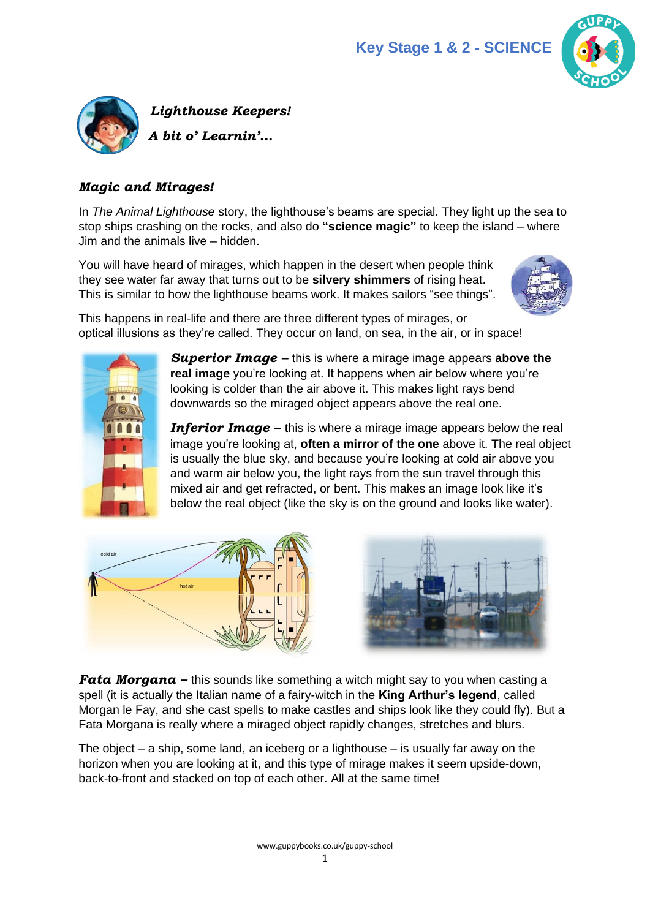



#### *Magic and Mirages!*

In *The Animal Lighthouse* story, the lighthouse's beams are special. They light up the sea to stop ships crashing on the rocks, and also do **"science magic"** to keep the island – where Jim and the animals live – hidden.

You will have heard of mirages, which happen in the desert when people think they see water far away that turns out to be **silvery shimmers** of rising heat. This is similar to how the lighthouse beams work. It makes sailors "see things".



This happens in real-life and there are three different types of mirages, or optical illusions as they're called. They occur on land, on sea, in the air, or in space!



*Superior Image –* this is where a mirage image appears **above the real image** you're looking at. It happens when air below where you're looking is colder than the air above it. This makes light rays bend downwards so the miraged object appears above the real one.

*Inferior Image* – this is where a mirage image appears below the real image you're looking at, **often a mirror of the one** above it. The real object is usually the blue sky, and because you're looking at cold air above you and warm air below you, the light rays from the sun travel through this mixed air and get refracted, or bent. This makes an image look like it's below the real object (like the sky is on the ground and looks like water).





*Fata Morgana –* this sounds like something a witch might say to you when casting a spell (it is actually the Italian name of a fairy-witch in the **King Arthur's legend**, called Morgan le Fay, and she cast spells to make castles and ships look like they could fly). But a Fata Morgana is really where a miraged object rapidly changes, stretches and blurs.

The object – a ship, some land, an iceberg or a lighthouse – is usually far away on the horizon when you are looking at it, and this type of mirage makes it seem upside-down, back-to-front and stacked on top of each other. All at the same time!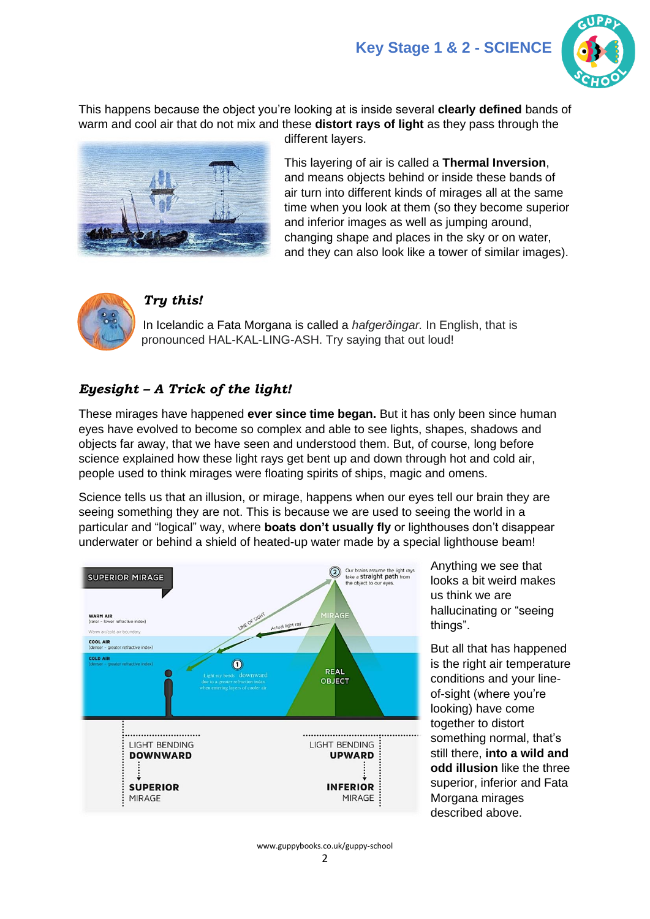

This happens because the object you're looking at is inside several **clearly defined** bands of warm and cool air that do not mix and these **distort rays of light** as they pass through the different layers.



This layering of air is called a **Thermal Inversion**, and means objects behind or inside these bands of air turn into different kinds of mirages all at the same time when you look at them (so they become superior and inferior images as well as jumping around, changing shape and places in the sky or on water, and they can also look like a tower of similar images).



### *Try this!*

In Icelandic a Fata Morgana is called a *hafgerðingar.* In English, that is pronounced HAL-KAL-LING-ASH. Try saying that out loud!

# *Eyesight – A Trick of the light!*

These mirages have happened **ever since time began.** But it has only been since human eyes have evolved to become so complex and able to see lights, shapes, shadows and objects far away, that we have seen and understood them. But, of course, long before science explained how these light rays get bent up and down through hot and cold air, people used to think mirages were floating spirits of ships, magic and omens.

Science tells us that an illusion, or mirage, happens when our eyes tell our brain they are seeing something they are not. This is because we are used to seeing the world in a particular and "logical" way, where **boats don't usually fly** or lighthouses don't disappear underwater or behind a shield of heated-up water made by a special lighthouse beam!



Anything we see that looks a bit weird makes us think we are hallucinating or "seeing things".

But all that has happened is the right air temperature conditions and your lineof-sight (where you're looking) have come together to distort something normal, that's still there, **into a wild and odd illusion** like the three superior, inferior and Fata Morgana mirages described above.